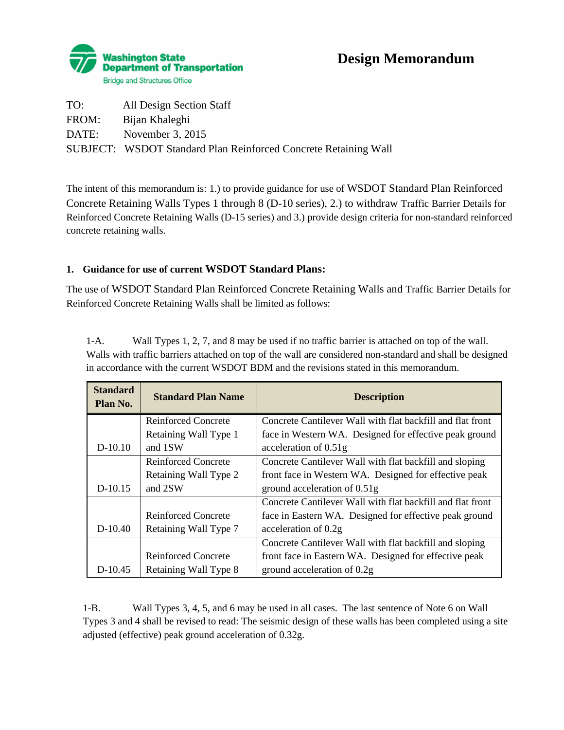

# **Design Memorandum**

| TO:   | All Design Section Staff                                               |
|-------|------------------------------------------------------------------------|
| FROM: | Bijan Khaleghi                                                         |
| DATE: | November 3, $2015$                                                     |
|       | <b>SUBJECT:</b> WSDOT Standard Plan Reinforced Concrete Retaining Wall |

The intent of this memorandum is: 1.) to provide guidance for use of WSDOT Standard Plan Reinforced Concrete Retaining Walls Types 1 through 8 (D-10 series), 2.) to withdraw Traffic Barrier Details for Reinforced Concrete Retaining Walls (D-15 series) and 3.) provide design criteria for non-standard reinforced concrete retaining walls.

## **1. Guidance for use of current WSDOT Standard Plans:**

The use of WSDOT Standard Plan Reinforced Concrete Retaining Walls and Traffic Barrier Details for Reinforced Concrete Retaining Walls shall be limited as follows:

1-A. Wall Types 1, 2, 7, and 8 may be used if no traffic barrier is attached on top of the wall. Walls with traffic barriers attached on top of the wall are considered non-standard and shall be designed in accordance with the current WSDOT BDM and the revisions stated in this memorandum.

| <b>Standard</b><br>Plan No. | <b>Standard Plan Name</b>  | <b>Description</b>                                         |
|-----------------------------|----------------------------|------------------------------------------------------------|
|                             | <b>Reinforced Concrete</b> | Concrete Cantilever Wall with flat backfill and flat front |
|                             | Retaining Wall Type 1      | face in Western WA. Designed for effective peak ground     |
| $D-10.10$                   | and 1SW                    | acceleration of 0.51g                                      |
|                             | <b>Reinforced Concrete</b> | Concrete Cantilever Wall with flat backfill and sloping    |
|                             | Retaining Wall Type 2      | front face in Western WA. Designed for effective peak      |
| $D-10.15$                   | and 2SW                    | ground acceleration of 0.51g                               |
|                             |                            | Concrete Cantilever Wall with flat backfill and flat front |
|                             | Reinforced Concrete        | face in Eastern WA. Designed for effective peak ground     |
| $D-10.40$                   | Retaining Wall Type 7      | acceleration of 0.2g                                       |
|                             |                            | Concrete Cantilever Wall with flat backfill and sloping    |
|                             | <b>Reinforced Concrete</b> | front face in Eastern WA. Designed for effective peak      |
| D-10.45                     | Retaining Wall Type 8      | ground acceleration of 0.2g                                |

1-B. Wall Types 3, 4, 5, and 6 may be used in all cases. The last sentence of Note 6 on Wall Types 3 and 4 shall be revised to read: The seismic design of these walls has been completed using a site adjusted (effective) peak ground acceleration of 0.32g.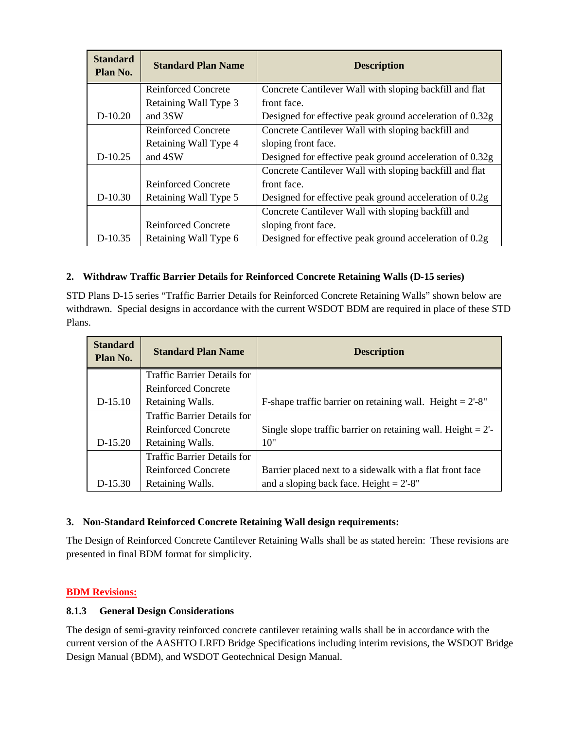| <b>Standard</b><br>Plan No. | <b>Standard Plan Name</b>  | <b>Description</b>                                       |
|-----------------------------|----------------------------|----------------------------------------------------------|
|                             | <b>Reinforced Concrete</b> | Concrete Cantilever Wall with sloping backfill and flat  |
|                             | Retaining Wall Type 3      | front face.                                              |
| $D-10.20$                   | and 3SW                    | Designed for effective peak ground acceleration of 0.32g |
|                             | <b>Reinforced Concrete</b> | Concrete Cantilever Wall with sloping backfill and       |
|                             | Retaining Wall Type 4      | sloping front face.                                      |
| $D-10.25$                   | and 4SW                    | Designed for effective peak ground acceleration of 0.32g |
|                             |                            | Concrete Cantilever Wall with sloping backfill and flat  |
|                             | Reinforced Concrete        | front face.                                              |
| $D-10.30$                   | Retaining Wall Type 5      | Designed for effective peak ground acceleration of 0.2g  |
|                             |                            | Concrete Cantilever Wall with sloping backfill and       |
|                             | <b>Reinforced Concrete</b> | sloping front face.                                      |
| $D-10.35$                   | Retaining Wall Type 6      | Designed for effective peak ground acceleration of 0.2g  |

## **2. Withdraw Traffic Barrier Details for Reinforced Concrete Retaining Walls (D-15 series)**

STD Plans D-15 series "Traffic Barrier Details for Reinforced Concrete Retaining Walls" shown below are withdrawn. Special designs in accordance with the current WSDOT BDM are required in place of these STD Plans.

| <b>Standard</b><br>Plan No. | <b>Standard Plan Name</b>          | <b>Description</b>                                                  |
|-----------------------------|------------------------------------|---------------------------------------------------------------------|
|                             | <b>Traffic Barrier Details for</b> |                                                                     |
|                             | <b>Reinforced Concrete</b>         |                                                                     |
| D-15.10                     | Retaining Walls.                   | F-shape traffic barrier on retaining wall. Height = $2^{\circ}$ -8" |
|                             | <b>Traffic Barrier Details for</b> |                                                                     |
|                             | Reinforced Concrete                | Single slope traffic barrier on retaining wall. Height $= 2$ '-     |
| D-15.20                     | Retaining Walls.                   | 10"                                                                 |
|                             | <b>Traffic Barrier Details for</b> |                                                                     |
|                             | <b>Reinforced Concrete</b>         | Barrier placed next to a sidewalk with a flat front face            |
| $D-15.30$                   | Retaining Walls.                   | and a sloping back face. Height = $2^{\circ}$ -8"                   |

#### **3. Non-Standard Reinforced Concrete Retaining Wall design requirements:**

The Design of Reinforced Concrete Cantilever Retaining Walls shall be as stated herein: These revisions are presented in final BDM format for simplicity.

#### **BDM Revisions:**

#### **8.1.3 General Design Considerations**

The design of semi-gravity reinforced concrete cantilever retaining walls shall be in accordance with the current version of the AASHTO LRFD Bridge Specifications including interim revisions, the WSDOT Bridge Design Manual (BDM), and WSDOT Geotechnical Design Manual.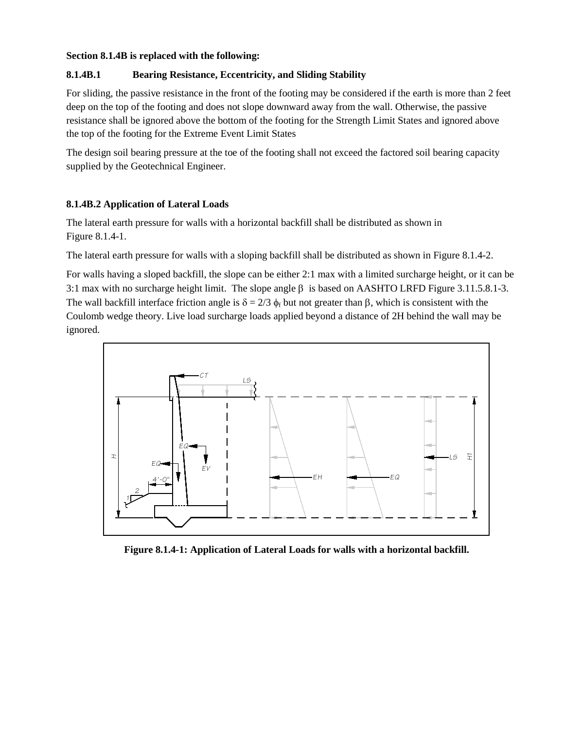#### **Section 8.1.4B is replaced with the following:**

#### **8.1.4B.1 Bearing Resistance, Eccentricity, and Sliding Stability**

For sliding, the passive resistance in the front of the footing may be considered if the earth is more than 2 feet deep on the top of the footing and does not slope downward away from the wall. Otherwise, the passive resistance shall be ignored above the bottom of the footing for the Strength Limit States and ignored above the top of the footing for the Extreme Event Limit States

The design soil bearing pressure at the toe of the footing shall not exceed the factored soil bearing capacity supplied by the Geotechnical Engineer.

#### **8.1.4B.2 Application of Lateral Loads**

The lateral earth pressure for walls with a horizontal backfill shall be distributed as shown in Figure 8.1.4-1.

The lateral earth pressure for walls with a sloping backfill shall be distributed as shown in Figure 8.1.4-2.

For walls having a sloped backfill, the slope can be either 2:1 max with a limited surcharge height, or it can be 3:1 max with no surcharge height limit. The slope angle β is based on AASHTO LRFD Figure 3.11.5.8.1-3. The wall backfill interface friction angle is  $\delta = 2/3$   $\phi_f$  but not greater than β, which is consistent with the Coulomb wedge theory. Live load surcharge loads applied beyond a distance of 2H behind the wall may be ignored.



**Figure 8.1.4-1: Application of Lateral Loads for walls with a horizontal backfill.**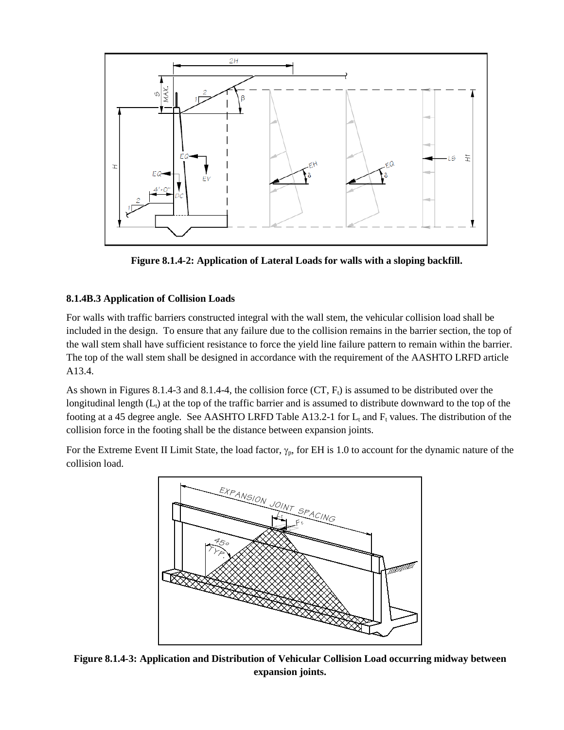

**Figure 8.1.4-2: Application of Lateral Loads for walls with a sloping backfill.**

## **8.1.4B.3 Application of Collision Loads**

For walls with traffic barriers constructed integral with the wall stem, the vehicular collision load shall be included in the design. To ensure that any failure due to the collision remains in the barrier section, the top of the wall stem shall have sufficient resistance to force the yield line failure pattern to remain within the barrier. The top of the wall stem shall be designed in accordance with the requirement of the AASHTO LRFD article A13.4.

As shown in Figures 8.1.4-3 and 8.1.4-4, the collision force  $(CT, F<sub>t</sub>)$  is assumed to be distributed over the longitudinal length  $(L<sub>1</sub>)$  at the top of the traffic barrier and is assumed to distribute downward to the top of the footing at a 45 degree angle. See AASHTO LRFD Table A13.2-1 for  $L_t$  and  $F_t$  values. The distribution of the collision force in the footing shall be the distance between expansion joints.

For the Extreme Event II Limit State, the load factor,  $\gamma_p$ , for EH is 1.0 to account for the dynamic nature of the collision load.



**Figure 8.1.4-3: Application and Distribution of Vehicular Collision Load occurring midway between expansion joints.**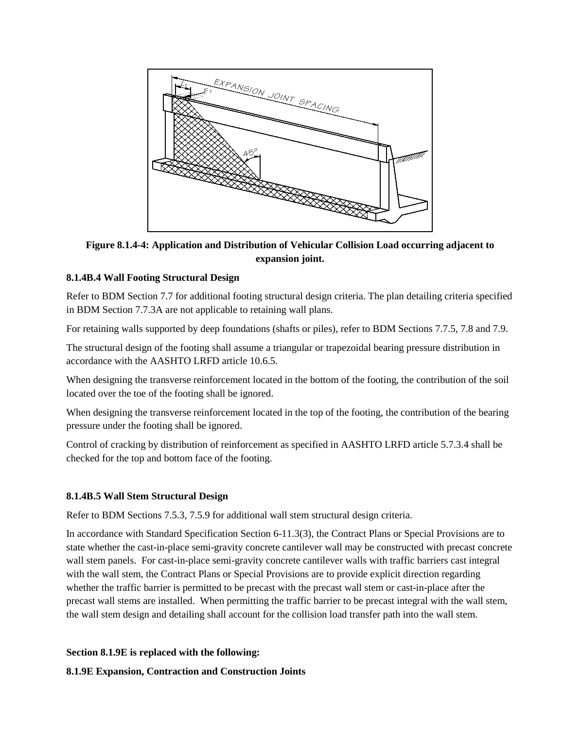

**Figure 8.1.4-4: Application and Distribution of Vehicular Collision Load occurring adjacent to expansion joint.**

#### **8.1.4B.4 Wall Footing Structural Design**

Refer to BDM Section 7.7 for additional footing structural design criteria. The plan detailing criteria specified in BDM Section 7.7.3A are not applicable to retaining wall plans.

For retaining walls supported by deep foundations (shafts or piles), refer to BDM Sections 7.7.5, 7.8 and 7.9.

The structural design of the footing shall assume a triangular or trapezoidal bearing pressure distribution in accordance with the AASHTO LRFD article 10.6.5.

When designing the transverse reinforcement located in the bottom of the footing, the contribution of the soil located over the toe of the footing shall be ignored.

When designing the transverse reinforcement located in the top of the footing, the contribution of the bearing pressure under the footing shall be ignored.

Control of cracking by distribution of reinforcement as specified in AASHTO LRFD article 5.7.3.4 shall be checked for the top and bottom face of the footing.

#### **8.1.4B.5 Wall Stem Structural Design**

Refer to BDM Sections 7.5.3, 7.5.9 for additional wall stem structural design criteria.

In accordance with Standard Specification Section 6-11.3(3), the Contract Plans or Special Provisions are to state whether the cast-in-place semi-gravity concrete cantilever wall may be constructed with precast concrete wall stem panels. For cast-in-place semi-gravity concrete cantilever walls with traffic barriers cast integral with the wall stem, the Contract Plans or Special Provisions are to provide explicit direction regarding whether the traffic barrier is permitted to be precast with the precast wall stem or cast-in-place after the precast wall stems are installed. When permitting the traffic barrier to be precast integral with the wall stem, the wall stem design and detailing shall account for the collision load transfer path into the wall stem.

**Section 8.1.9E is replaced with the following:**

**8.1.9E Expansion, Contraction and Construction Joints**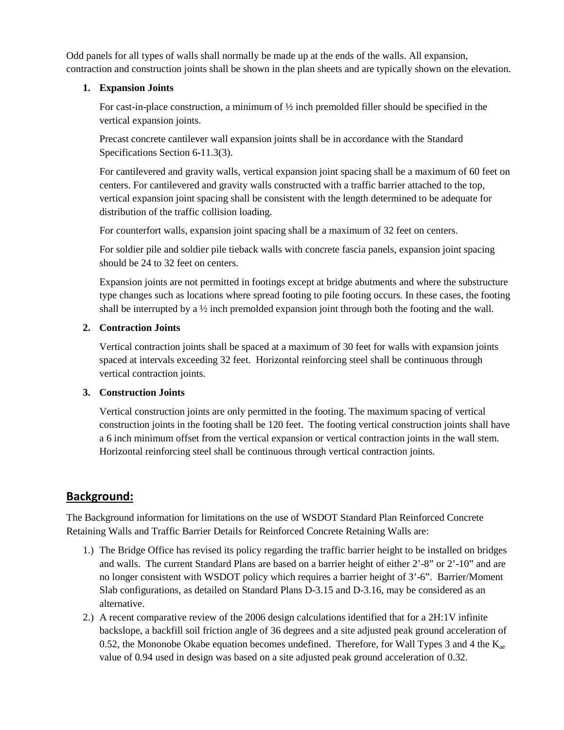Odd panels for all types of walls shall normally be made up at the ends of the walls. All expansion, contraction and construction joints shall be shown in the plan sheets and are typically shown on the elevation.

### **1. Expansion Joints**

For cast-in-place construction, a minimum of  $\frac{1}{2}$  inch premolded filler should be specified in the vertical expansion joints.

Precast concrete cantilever wall expansion joints shall be in accordance with the Standard Specifications Section 6-11.3(3).

For cantilevered and gravity walls, vertical expansion joint spacing shall be a maximum of 60 feet on centers. For cantilevered and gravity walls constructed with a traffic barrier attached to the top, vertical expansion joint spacing shall be consistent with the length determined to be adequate for distribution of the traffic collision loading.

For counterfort walls, expansion joint spacing shall be a maximum of 32 feet on centers.

For soldier pile and soldier pile tieback walls with concrete fascia panels, expansion joint spacing should be 24 to 32 feet on centers.

Expansion joints are not permitted in footings except at bridge abutments and where the substructure type changes such as locations where spread footing to pile footing occurs. In these cases, the footing shall be interrupted by a  $\frac{1}{2}$  inch premolded expansion joint through both the footing and the wall.

## **2. Contraction Joints**

Vertical contraction joints shall be spaced at a maximum of 30 feet for walls with expansion joints spaced at intervals exceeding 32 feet. Horizontal reinforcing steel shall be continuous through vertical contraction joints.

## **3. Construction Joints**

Vertical construction joints are only permitted in the footing. The maximum spacing of vertical construction joints in the footing shall be 120 feet. The footing vertical construction joints shall have a 6 inch minimum offset from the vertical expansion or vertical contraction joints in the wall stem. Horizontal reinforcing steel shall be continuous through vertical contraction joints.

## **Background:**

The Background information for limitations on the use of WSDOT Standard Plan Reinforced Concrete Retaining Walls and Traffic Barrier Details for Reinforced Concrete Retaining Walls are:

- 1.) The Bridge Office has revised its policy regarding the traffic barrier height to be installed on bridges and walls. The current Standard Plans are based on a barrier height of either 2'-8" or 2'-10" and are no longer consistent with WSDOT policy which requires a barrier height of 3'-6". Barrier/Moment Slab configurations, as detailed on Standard Plans D-3.15 and D-3.16, may be considered as an alternative.
- 2.) A recent comparative review of the 2006 design calculations identified that for a 2H:1V infinite backslope, a backfill soil friction angle of 36 degrees and a site adjusted peak ground acceleration of 0.52, the Mononobe Okabe equation becomes undefined. Therefore, for Wall Types 3 and 4 the  $K_{ae}$ value of 0.94 used in design was based on a site adjusted peak ground acceleration of 0.32.